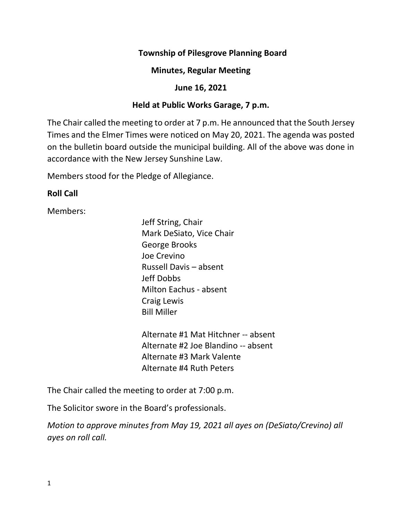## **Township of Pilesgrove Planning Board**

#### **Minutes, Regular Meeting**

### **June 16, 2021**

### **Held at Public Works Garage, 7 p.m.**

The Chair called the meeting to order at 7 p.m. He announced that the South Jersey Times and the Elmer Times were noticed on May 20, 2021. The agenda was posted on the bulletin board outside the municipal building. All of the above was done in accordance with the New Jersey Sunshine Law.

Members stood for the Pledge of Allegiance.

### **Roll Call**

Members:

Jeff String, Chair Mark DeSiato, Vice Chair George Brooks Joe Crevino Russell Davis – absent Jeff Dobbs Milton Eachus - absent Craig Lewis Bill Miller

Alternate #1 Mat Hitchner -- absent Alternate #2 Joe Blandino -- absent Alternate #3 Mark Valente Alternate #4 Ruth Peters

The Chair called the meeting to order at 7:00 p.m.

The Solicitor swore in the Board's professionals.

*Motion to approve minutes from May 19, 2021 all ayes on (DeSiato/Crevino) all ayes on roll call.*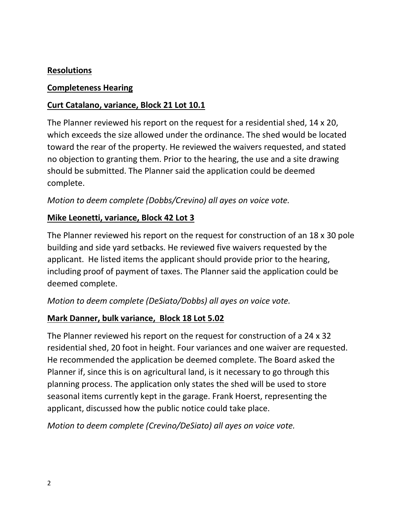### **Resolutions**

### **Completeness Hearing**

## **Curt Catalano, variance, Block 21 Lot 10.1**

The Planner reviewed his report on the request for a residential shed, 14 x 20, which exceeds the size allowed under the ordinance. The shed would be located toward the rear of the property. He reviewed the waivers requested, and stated no objection to granting them. Prior to the hearing, the use and a site drawing should be submitted. The Planner said the application could be deemed complete.

*Motion to deem complete (Dobbs/Crevino) all ayes on voice vote.* 

# **Mike Leonetti, variance, Block 42 Lot 3**

The Planner reviewed his report on the request for construction of an 18 x 30 pole building and side yard setbacks. He reviewed five waivers requested by the applicant. He listed items the applicant should provide prior to the hearing, including proof of payment of taxes. The Planner said the application could be deemed complete.

# *Motion to deem complete (DeSiato/Dobbs) all ayes on voice vote.*

# **Mark Danner, bulk variance, Block 18 Lot 5.02**

The Planner reviewed his report on the request for construction of a 24 x 32 residential shed, 20 foot in height. Four variances and one waiver are requested. He recommended the application be deemed complete. The Board asked the Planner if, since this is on agricultural land, is it necessary to go through this planning process. The application only states the shed will be used to store seasonal items currently kept in the garage. Frank Hoerst, representing the applicant, discussed how the public notice could take place.

*Motion to deem complete (Crevino/DeSiato) all ayes on voice vote.*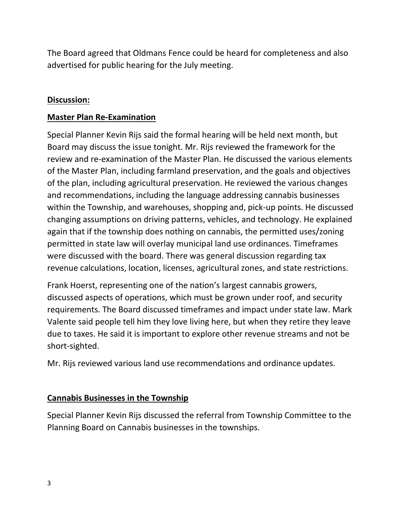The Board agreed that Oldmans Fence could be heard for completeness and also advertised for public hearing for the July meeting.

### **Discussion:**

#### **Master Plan Re-Examination**

Special Planner Kevin Rijs said the formal hearing will be held next month, but Board may discuss the issue tonight. Mr. Rijs reviewed the framework for the review and re-examination of the Master Plan. He discussed the various elements of the Master Plan, including farmland preservation, and the goals and objectives of the plan, including agricultural preservation. He reviewed the various changes and recommendations, including the language addressing cannabis businesses within the Township, and warehouses, shopping and, pick-up points. He discussed changing assumptions on driving patterns, vehicles, and technology. He explained again that if the township does nothing on cannabis, the permitted uses/zoning permitted in state law will overlay municipal land use ordinances. Timeframes were discussed with the board. There was general discussion regarding tax revenue calculations, location, licenses, agricultural zones, and state restrictions.

Frank Hoerst, representing one of the nation's largest cannabis growers, discussed aspects of operations, which must be grown under roof, and security requirements. The Board discussed timeframes and impact under state law. Mark Valente said people tell him they love living here, but when they retire they leave due to taxes. He said it is important to explore other revenue streams and not be short-sighted.

Mr. Rijs reviewed various land use recommendations and ordinance updates.

# **Cannabis Businesses in the Township**

Special Planner Kevin Rijs discussed the referral from Township Committee to the Planning Board on Cannabis businesses in the townships.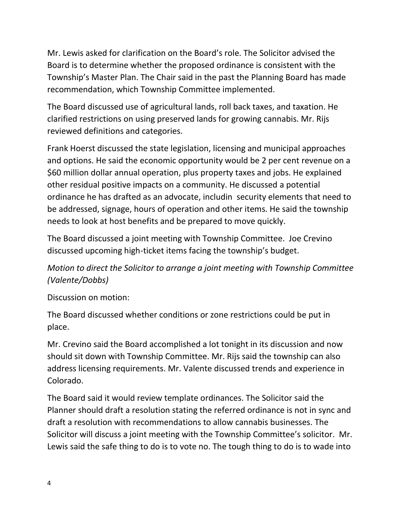Mr. Lewis asked for clarification on the Board's role. The Solicitor advised the Board is to determine whether the proposed ordinance is consistent with the Township's Master Plan. The Chair said in the past the Planning Board has made recommendation, which Township Committee implemented.

The Board discussed use of agricultural lands, roll back taxes, and taxation. He clarified restrictions on using preserved lands for growing cannabis. Mr. Rijs reviewed definitions and categories.

Frank Hoerst discussed the state legislation, licensing and municipal approaches and options. He said the economic opportunity would be 2 per cent revenue on a \$60 million dollar annual operation, plus property taxes and jobs. He explained other residual positive impacts on a community. He discussed a potential ordinance he has drafted as an advocate, includin security elements that need to be addressed, signage, hours of operation and other items. He said the township needs to look at host benefits and be prepared to move quickly.

The Board discussed a joint meeting with Township Committee. Joe Crevino discussed upcoming high-ticket items facing the township's budget.

# *Motion to direct the Solicitor to arrange a joint meeting with Township Committee (Valente/Dobbs)*

Discussion on motion:

The Board discussed whether conditions or zone restrictions could be put in place.

Mr. Crevino said the Board accomplished a lot tonight in its discussion and now should sit down with Township Committee. Mr. Rijs said the township can also address licensing requirements. Mr. Valente discussed trends and experience in Colorado.

The Board said it would review template ordinances. The Solicitor said the Planner should draft a resolution stating the referred ordinance is not in sync and draft a resolution with recommendations to allow cannabis businesses. The Solicitor will discuss a joint meeting with the Township Committee's solicitor. Mr. Lewis said the safe thing to do is to vote no. The tough thing to do is to wade into